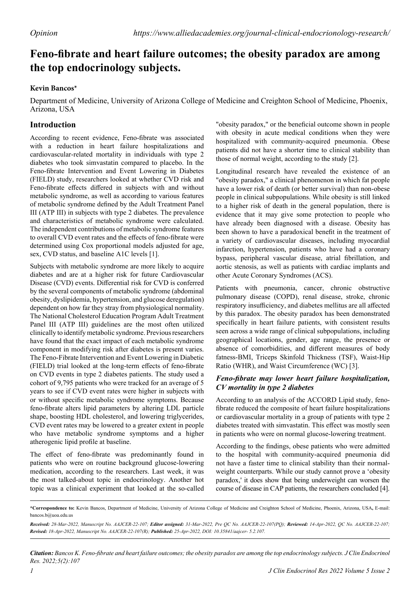# **Feno-fibrate and heart failure outcomes; the obesity paradox are among the top endocrinology subjects.**

## **Kevin Bancos\***

Department of Medicine, University of Arizona College of Medicine and Creighton School of Medicine, Phoenix, Arizona, USA

## **Introduction**

According to recent evidence, Feno-fibrate was associated with a reduction in heart failure hospitalizations and cardiovascular-related mortality in individuals with type 2 diabetes who took simvastatin compared to placebo. In the Feno-fibrate Intervention and Event Lowering in Diabetes (FIELD) study, researchers looked at whether CVD risk and Feno-fibrate effects differed in subjects with and without metabolic syndrome, as well as according to various features of metabolic syndrome defined by the Adult Treatment Panel III (ATP III) in subjects with type 2 diabetes. The prevalence and characteristics of metabolic syndrome were calculated. The independent contributions of metabolic syndrome features to overall CVD event rates and the effects of feno-fibrate were determined using Cox proportional models adjusted for age, sex, CVD status, and baseline A1C levels [1].

Subjects with metabolic syndrome are more likely to acquire diabetes and are at a higher risk for future Cardiovascular Disease (CVD) events. Differential risk for CVD is conferred by the several components of metabolic syndrome (abdominal obesity, dyslipidemia, hypertension, and glucose deregulation) dependent on how far they stray from physiological normality. The National Cholesterol Education Program Adult Treatment Panel III (ATP III) guidelines are the most often utilized clinically to identify metabolic syndrome. Previous researchers have found that the exact impact of each metabolic syndrome component in modifying risk after diabetes is present varies. The Feno-Fibrate Intervention and Event Lowering in Diabetic (FIELD) trial looked at the long-term effects of feno-fibrate on CVD events in type 2 diabetes patients. The study used a cohort of 9,795 patients who were tracked for an average of 5 years to see if CVD event rates were higher in subjects with or without specific metabolic syndrome symptoms. Because feno-fibrate alters lipid parameters by altering LDL particle shape, boosting HDL cholesterol, and lowering triglycerides, CVD event rates may be lowered to a greater extent in people who have metabolic syndrome symptoms and a higher atherogenic lipid profile at baseline.

The effect of feno-fibrate was predominantly found in patients who were on routine background glucose-lowering medication, according to the researchers. Last week, it was the most talked-about topic in endocrinology. Another hot topic was a clinical experiment that looked at the so-called

"obesity paradox," or the beneficial outcome shown in people with obesity in acute medical conditions when they were hospitalized with community-acquired pneumonia. Obese patients did not have a shorter time to clinical stability than those of normal weight, according to the study [2].

Longitudinal research have revealed the existence of an "obesity paradox," a clinical phenomenon in which fat people have a lower risk of death (or better survival) than non-obese people in clinical subpopulations. While obesity is still linked to a higher risk of death in the general population, there is evidence that it may give some protection to people who have already been diagnosed with a disease. Obesity has been shown to have a paradoxical benefit in the treatment of a variety of cardiovascular diseases, including myocardial infarction, hypertension, patients who have had a coronary bypass, peripheral vascular disease, atrial fibrillation, and aortic stenosis, as well as patients with cardiac implants and other Acute Coronary Syndromes (ACS).

Patients with pneumonia, cancer, chronic obstructive pulmonary disease (COPD), renal disease, stroke, chronic respiratory insufficiency, and diabetes mellitus are all affected by this paradox. The obesity paradox has been demonstrated specifically in heart failure patients, with consistent results seen across a wide range of clinical subpopulations, including geographical locations, gender, age range, the presence or absence of comorbidities, and different measures of body fatness-BMI, Triceps Skinfold Thickness (TSF), Waist-Hip Ratio (WHR), and Waist Circumference (WC) [3].

### *Feno-fibrate may lower heart failure hospitalization, CV mortality in type 2 diabetes*

According to an analysis of the ACCORD Lipid study, fenofibrate reduced the composite of heart failure hospitalizations or cardiovascular mortality in a group of patients with type 2 diabetes treated with simvastatin. This effect was mostly seen in patients who were on normal glucose-lowering treatment.

According to the findings, obese patients who were admitted to the hospital with community-acquired pneumonia did not have a faster time to clinical stability than their normalweight counterparts. While our study cannot prove a 'obesity paradox,' it does show that being underweight can worsen the course of disease in CAP patients, the researchers concluded [4].

*Citation: Bancos K. Feno-fibrate and heart failure outcomes; the obesity paradox are among the top endocrinology subjects. J Clin Endocrinol Res. 2022;5(2):107*

**<sup>\*</sup>Correspondence to:** Kevin Bancos, Department of Medicine, University of Arizona College of Medicine and Creighton School of Medicine, Phoenix, Arizona, USA**,** E-mail: bancos.b@uoa.edu.us

*Received: 28-Mar-2022, Manuscript No. AAJCER-22-107; Editor assigned: 31-Mar-2022, Pre QC No. AAJCER-22-107(PQ); Reviewed: 14-Apr-2022, QC No. AAJCER-22-107; Revised: 18-Apr-2022, Manuscript No. AAJCER-22-107(R); Published: 25-Apr-2022, DOI: 10.35841/aajcer- 5.2.107.*